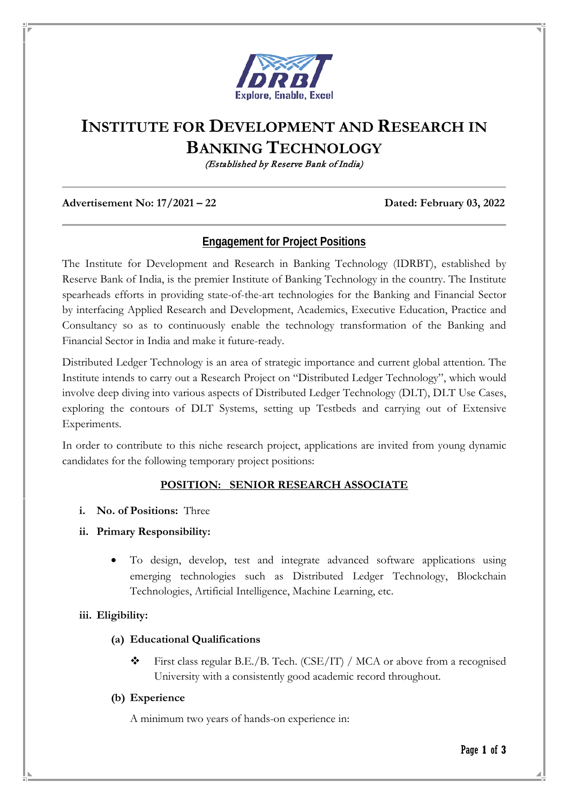

# **INSTITUTE FOR DEVELOPMENT AND RESEARCH IN BANKING TECHNOLOGY**

(Established by Reserve Bank of India)

#### **Advertisement No: 17/2021 – 22 Dated: February 03, 2022**

## **Engagement for Project Positions**

The Institute for Development and Research in Banking Technology (IDRBT), established by Reserve Bank of India, is the premier Institute of Banking Technology in the country. The Institute spearheads efforts in providing state-of-the-art technologies for the Banking and Financial Sector by interfacing Applied Research and Development, Academics, Executive Education, Practice and Consultancy so as to continuously enable the technology transformation of the Banking and Financial Sector in India and make it future-ready.

Distributed Ledger Technology is an area of strategic importance and current global attention. The Institute intends to carry out a Research Project on "Distributed Ledger Technology", which would involve deep diving into various aspects of Distributed Ledger Technology (DLT), DLT Use Cases, exploring the contours of DLT Systems, setting up Testbeds and carrying out of Extensive Experiments.

In order to contribute to this niche research project, applications are invited from young dynamic candidates for the following temporary project positions:

#### **POSITION: SENIOR RESEARCH ASSOCIATE**

- **i. No. of Positions:** Three
- **ii. Primary Responsibility:**
	- To design, develop, test and integrate advanced software applications using emerging technologies such as Distributed Ledger Technology, Blockchain Technologies, Artificial Intelligence, Machine Learning, etc.

#### **iii. Eligibility:**

#### **(a) Educational Qualifications**

 First class regular B.E./B. Tech. (CSE/IT) / MCA or above from a recognised University with a consistently good academic record throughout.

#### **(b) Experience**

A minimum two years of hands-on experience in: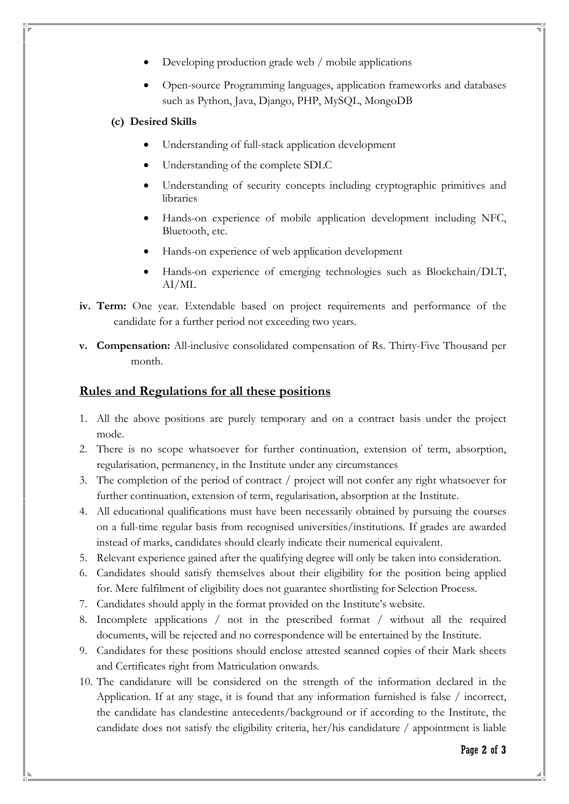- Developing production grade web / mobile applications
- Open-source Programming languages, application frameworks and databases such as Python, Java, Django, PHP, MySQL, MongoDB

### **(c) Desired Skills**

- Understanding of full-stack application development
- Understanding of the complete SDLC
- Understanding of security concepts including cryptographic primitives and libraries
- Hands-on experience of mobile application development including NFC, Bluetooth, etc.
- Hands-on experience of web application development
- Hands-on experience of emerging technologies such as Blockchain/DLT, AI/ML
- **iv. Term:** One year. Extendable based on project requirements and performance of the candidate for a further period not exceeding two years.
- **v. Compensation:** All-inclusive consolidated compensation of Rs. Thirty-Five Thousand per month.

## **Rules and Regulations for all these positions**

- 1. All the above positions are purely temporary and on a contract basis under the project mode.
- 2. There is no scope whatsoever for further continuation, extension of term, absorption, regularisation, permanency, in the Institute under any circumstances
- 3. The completion of the period of contract / project will not confer any right whatsoever for further continuation, extension of term, regularisation, absorption at the Institute.
- 4. All educational qualifications must have been necessarily obtained by pursuing the courses on a full-time regular basis from recognised universities/institutions. If grades are awarded instead of marks, candidates should clearly indicate their numerical equivalent.
- 5. Relevant experience gained after the qualifying degree will only be taken into consideration.
- 6. Candidates should satisfy themselves about their eligibility for the position being applied for. Mere fulfilment of eligibility does not guarantee shortlisting for Selection Process.
- 7. Candidates should apply in the format provided on the Institute's website.
- 8. Incomplete applications / not in the prescribed format / without all the required documents, will be rejected and no correspondence will be entertained by the Institute.
- 9. Candidates for these positions should enclose attested scanned copies of their Mark sheets and Certificates right from Matriculation onwards.
- 10. The candidature will be considered on the strength of the information declared in the Application. If at any stage, it is found that any information furnished is false / incorrect, the candidate has clandestine antecedents/background or if according to the Institute, the candidate does not satisfy the eligibility criteria, her/his candidature / appointment is liable